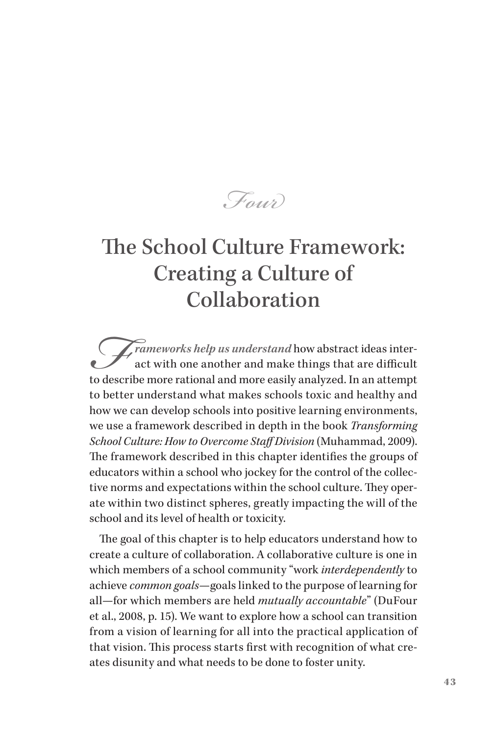

# The School Culture Framework: Creating a Culture of Collaboration

*Frameworks help us understand* how abstract ideas interact with one another and make things that are difficult to describe more rational and more easily analyzed. In an attempt to better understand what makes schools toxic and healthy and how we can develop schools into positive learning environments, we use a framework described in depth in the book *Transforming School Culture: How to Overcome Staff Division* (Muhammad, 2009). The framework described in this chapter identifies the groups of educators within a school who jockey for the control of the collective norms and expectations within the school culture. They operate within two distinct spheres, greatly impacting the will of the school and its level of health or toxicity.

The goal of this chapter is to help educators understand how to create a culture of collaboration. A collaborative culture is one in which members of a school community "work *interdependently* to achieve *common goals*—goals linked to the purpose of learning for all—for which members are held *mutually accountable*" (DuFour et al., 2008, p. 15). We want to explore how a school can transition from a vision of learning for all into the practical application of that vision. This process starts first with recognition of what creates disunity and what needs to be done to foster unity.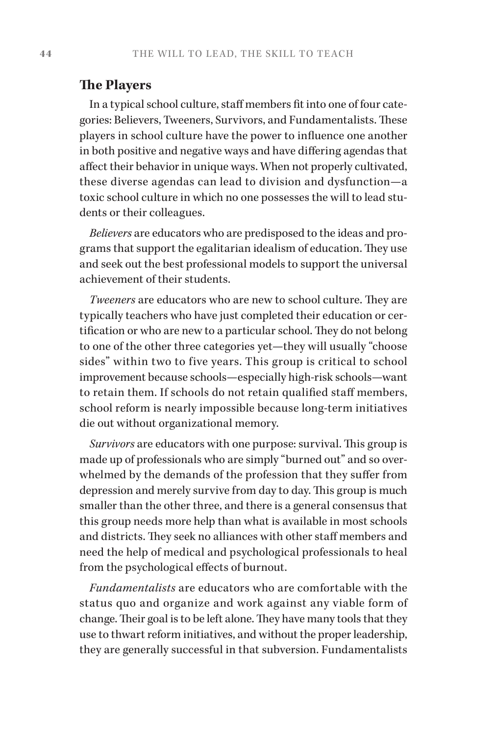#### **The Players**

In a typical school culture, staff members fit into one of four categories: Believers, Tweeners, Survivors, and Fundamentalists. These players in school culture have the power to influence one another in both positive and negative ways and have differing agendas that affect their behavior in unique ways. When not properly cultivated, these diverse agendas can lead to division and dysfunction—a toxic school culture in which no one possesses the will to lead students or their colleagues.

*Believers* are educators who are predisposed to the ideas and programs that support the egalitarian idealism of education. They use and seek out the best professional models to support the universal achievement of their students.

*Tweeners* are educators who are new to school culture. They are typically teachers who have just completed their education or certification or who are new to a particular school. They do not belong to one of the other three categories yet—they will usually "choose sides" within two to five years. This group is critical to school improvement because schools—especially high-risk schools—want to retain them. If schools do not retain qualified staff members, school reform is nearly impossible because long-term initiatives die out without organizational memory.

*Survivors* are educators with one purpose: survival. This group is made up of professionals who are simply "burned out" and so overwhelmed by the demands of the profession that they suffer from depression and merely survive from day to day. This group is much smaller than the other three, and there is a general consensus that this group needs more help than what is available in most schools and districts. They seek no alliances with other staff members and need the help of medical and psychological professionals to heal from the psychological effects of burnout.

*Fundamentalists* are educators who are comfortable with the status quo and organize and work against any viable form of change. Their goal is to be left alone. They have many tools that they use to thwart reform initiatives, and without the proper leadership, they are generally successful in that subversion. Fundamentalists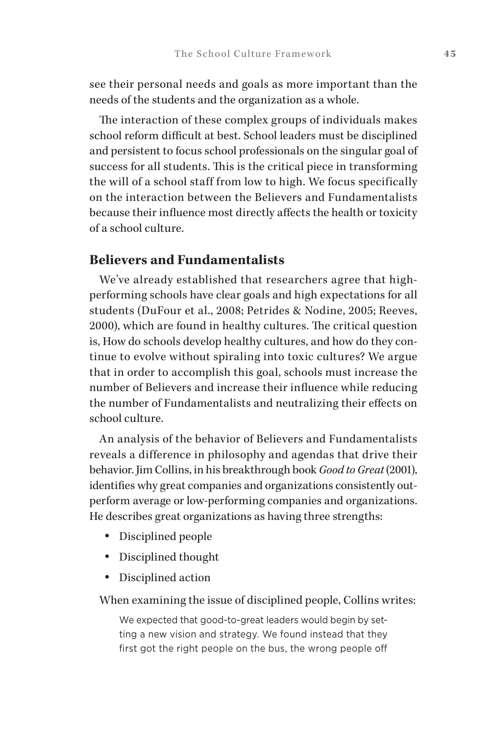see their personal needs and goals as more important than the needs of the students and the organization as a whole.

The interaction of these complex groups of individuals makes school reform difficult at best. School leaders must be disciplined and persistent to focus school professionals on the singular goal of success for all students. This is the critical piece in transforming the will of a school staff from low to high. We focus specifically on the interaction between the Believers and Fundamentalists because their influence most directly affects the health or toxicity of a school culture.

# **Believers and Fundamentalists**

We've already established that researchers agree that highperforming schools have clear goals and high expectations for all students (DuFour et al., 2008; Petrides & Nodine, 2005; Reeves, 2000), which are found in healthy cultures. The critical question is, How do schools develop healthy cultures, and how do they continue to evolve without spiraling into toxic cultures? We argue that in order to accomplish this goal, schools must increase the number of Believers and increase their influence while reducing the number of Fundamentalists and neutralizing their effects on school culture.

An analysis of the behavior of Believers and Fundamentalists reveals a difference in philosophy and agendas that drive their behavior. Jim Collins, in his breakthrough book *Good to Great* (2001), identifies why great companies and organizations consistently outperform average or low-performing companies and organizations. He describes great organizations as having three strengths:

- Disciplined people
- Disciplined thought
- Disciplined action

When examining the issue of disciplined people, Collins writes:

We expected that good-to-great leaders would begin by setting a new vision and strategy. We found instead that they first got the right people on the bus, the wrong people off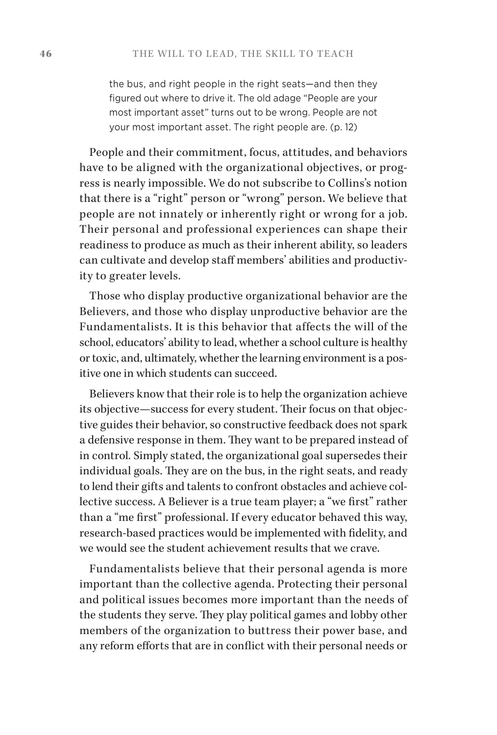the bus, and right people in the right seats—and then they figured out where to drive it. The old adage "People are your most important asset" turns out to be wrong. People are not your most important asset. The right people are. (p. 12)

People and their commitment, focus, attitudes, and behaviors have to be aligned with the organizational objectives, or progress is nearly impossible. We do not subscribe to Collins's notion that there is a "right" person or "wrong" person. We believe that people are not innately or inherently right or wrong for a job. Their personal and professional experiences can shape their readiness to produce as much as their inherent ability, so leaders can cultivate and develop staff members' abilities and productivity to greater levels.

Those who display productive organizational behavior are the Believers, and those who display unproductive behavior are the Fundamentalists. It is this behavior that affects the will of the school, educators' ability to lead, whether a school culture is healthy or toxic, and, ultimately, whether the learning environment is a positive one in which students can succeed.

Believers know that their role is to help the organization achieve its objective—success for every student. Their focus on that objective guides their behavior, so constructive feedback does not spark a defensive response in them. They want to be prepared instead of in control*.* Simply stated, the organizational goal supersedes their individual goals. They are on the bus, in the right seats, and ready to lend their gifts and talents to confront obstacles and achieve collective success. A Believer is a true team player; a "we first" rather than a "me first" professional. If every educator behaved this way, research-based practices would be implemented with fidelity, and we would see the student achievement results that we crave.

Fundamentalists believe that their personal agenda is more important than the collective agenda. Protecting their personal and political issues becomes more important than the needs of the students they serve. They play political games and lobby other members of the organization to buttress their power base, and any reform efforts that are in conflict with their personal needs or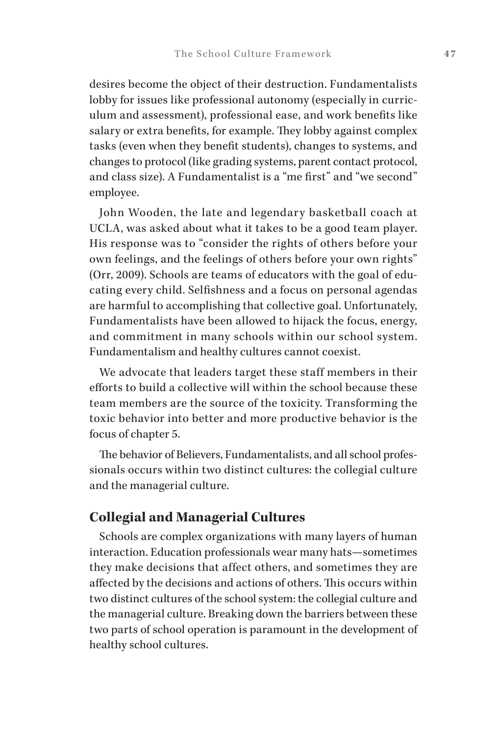desires become the object of their destruction. Fundamentalists lobby for issues like professional autonomy (especially in curriculum and assessment), professional ease, and work benefits like salary or extra benefits, for example. They lobby against complex tasks (even when they benefit students), changes to systems, and changes to protocol (like grading systems, parent contact protocol, and class size). A Fundamentalist is a "me first" and "we second" employee.

John Wooden, the late and legendary basketball coach at UCLA, was asked about what it takes to be a good team player. His response was to "consider the rights of others before your own feelings, and the feelings of others before your own rights" (Orr, 2009). Schools are teams of educators with the goal of educating every child. Selfishness and a focus on personal agendas are harmful to accomplishing that collective goal. Unfortunately, Fundamentalists have been allowed to hijack the focus, energy, and commitment in many schools within our school system. Fundamentalism and healthy cultures cannot coexist.

We advocate that leaders target these staff members in their efforts to build a collective will within the school because these team members are the source of the toxicity. Transforming the toxic behavior into better and more productive behavior is the focus of chapter 5.

The behavior of Believers, Fundamentalists, and all school professionals occurs within two distinct cultures: the collegial culture and the managerial culture.

# **Collegial and Managerial Cultures**

Schools are complex organizations with many layers of human interaction. Education professionals wear many hats—sometimes they make decisions that affect others, and sometimes they are affected by the decisions and actions of others. This occurs within two distinct cultures of the school system: the collegial culture and the managerial culture. Breaking down the barriers between these two parts of school operation is paramount in the development of healthy school cultures.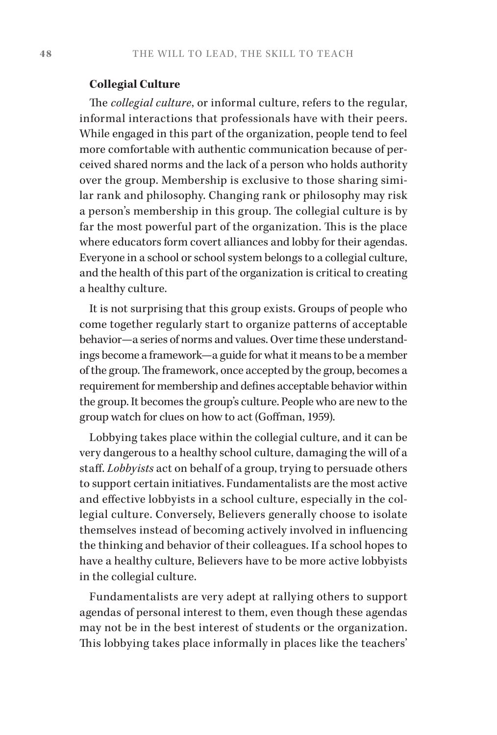#### **Collegial Culture**

The *collegial culture*, or informal culture, refers to the regular, informal interactions that professionals have with their peers. While engaged in this part of the organization, people tend to feel more comfortable with authentic communication because of perceived shared norms and the lack of a person who holds authority over the group. Membership is exclusive to those sharing similar rank and philosophy. Changing rank or philosophy may risk a person's membership in this group. The collegial culture is by far the most powerful part of the organization. This is the place where educators form covert alliances and lobby for their agendas. Everyone in a school or school system belongs to a collegial culture, and the health of this part of the organization is critical to creating a healthy culture.

It is not surprising that this group exists. Groups of people who come together regularly start to organize patterns of acceptable behavior—a series of norms and values. Over time these understandings become a framework—a guide for what it means to be a member of the group. The framework, once accepted by the group, becomes a requirement for membership and defines acceptable behavior within the group. It becomes the group's culture. People who are new to the group watch for clues on how to act (Goffman, 1959).

Lobbying takes place within the collegial culture, and it can be very dangerous to a healthy school culture, damaging the will of a staff. *Lobbyists* act on behalf of a group, trying to persuade others to support certain initiatives. Fundamentalists are the most active and effective lobbyists in a school culture, especially in the collegial culture. Conversely, Believers generally choose to isolate themselves instead of becoming actively involved in influencing the thinking and behavior of their colleagues. If a school hopes to have a healthy culture, Believers have to be more active lobbyists in the collegial culture.

Fundamentalists are very adept at rallying others to support agendas of personal interest to them, even though these agendas may not be in the best interest of students or the organization. This lobbying takes place informally in places like the teachers'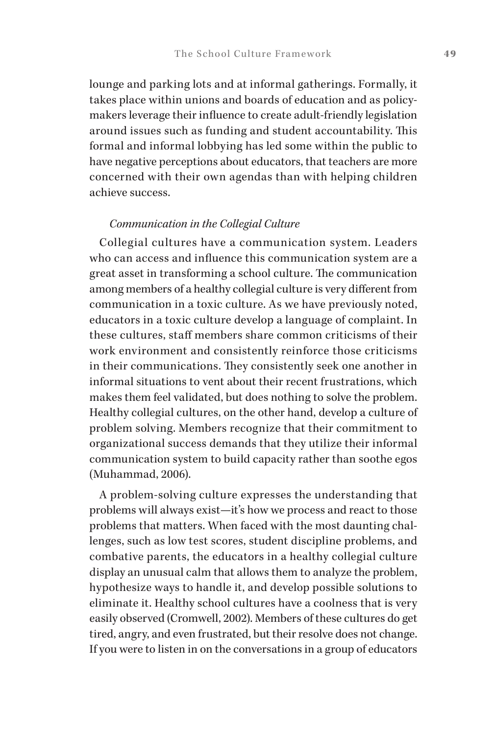lounge and parking lots and at informal gatherings. Formally, it takes place within unions and boards of education and as policymakers leverage their influence to create adult-friendly legislation around issues such as funding and student accountability. This formal and informal lobbying has led some within the public to have negative perceptions about educators, that teachers are more concerned with their own agendas than with helping children achieve success.

#### *Communication in the Collegial Culture*

Collegial cultures have a communication system. Leaders who can access and influence this communication system are a great asset in transforming a school culture. The communication among members of a healthy collegial culture is very different from communication in a toxic culture. As we have previously noted, educators in a toxic culture develop a language of complaint. In these cultures, staff members share common criticisms of their work environment and consistently reinforce those criticisms in their communications. They consistently seek one another in informal situations to vent about their recent frustrations, which makes them feel validated, but does nothing to solve the problem. Healthy collegial cultures, on the other hand, develop a culture of problem solving. Members recognize that their commitment to organizational success demands that they utilize their informal communication system to build capacity rather than soothe egos (Muhammad, 2006).

A problem-solving culture expresses the understanding that problems will always exist—it's how we process and react to those problems that matters. When faced with the most daunting challenges, such as low test scores, student discipline problems, and combative parents, the educators in a healthy collegial culture display an unusual calm that allows them to analyze the problem, hypothesize ways to handle it, and develop possible solutions to eliminate it. Healthy school cultures have a coolness that is very easily observed (Cromwell, 2002). Members of these cultures do get tired, angry, and even frustrated, but their resolve does not change. If you were to listen in on the conversations in a group of educators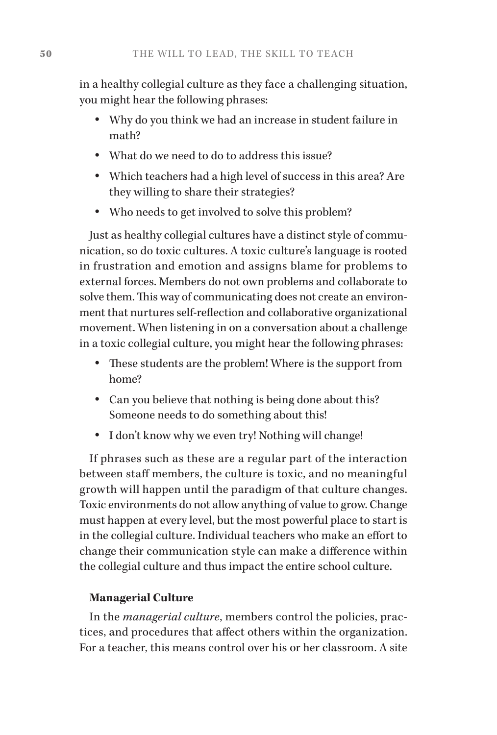in a healthy collegial culture as they face a challenging situation, you might hear the following phrases:

- Why do you think we had an increase in student failure in math?
- What do we need to do to address this issue?
- Which teachers had a high level of success in this area? Are they willing to share their strategies?
- Who needs to get involved to solve this problem?

Just as healthy collegial cultures have a distinct style of communication, so do toxic cultures. A toxic culture's language is rooted in frustration and emotion and assigns blame for problems to external forces. Members do not own problems and collaborate to solve them. This way of communicating does not create an environment that nurtures self-reflection and collaborative organizational movement. When listening in on a conversation about a challenge in a toxic collegial culture, you might hear the following phrases:

- These students are the problem! Where is the support from home?
- Can you believe that nothing is being done about this? Someone needs to do something about this!
- I don't know why we even try! Nothing will change!

If phrases such as these are a regular part of the interaction between staff members, the culture is toxic, and no meaningful growth will happen until the paradigm of that culture changes. Toxic environments do not allow anything of value to grow. Change must happen at every level, but the most powerful place to start is in the collegial culture. Individual teachers who make an effort to change their communication style can make a difference within the collegial culture and thus impact the entire school culture.

## **Managerial Culture**

In the *managerial culture*, members control the policies, practices, and procedures that affect others within the organization. For a teacher, this means control over his or her classroom. A site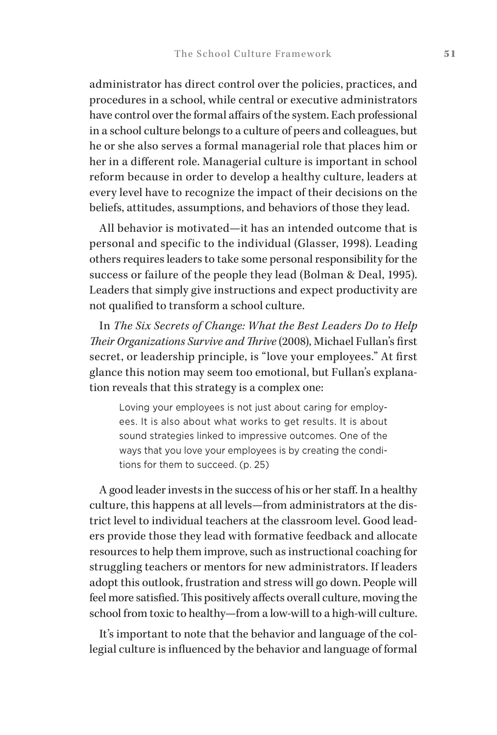administrator has direct control over the policies, practices, and procedures in a school, while central or executive administrators have control over the formal affairs of the system. Each professional in a school culture belongs to a culture of peers and colleagues, but he or she also serves a formal managerial role that places him or her in a different role. Managerial culture is important in school reform because in order to develop a healthy culture, leaders at every level have to recognize the impact of their decisions on the beliefs, attitudes, assumptions, and behaviors of those they lead.

All behavior is motivated—it has an intended outcome that is personal and specific to the individual (Glasser, 1998). Leading others requires leaders to take some personal responsibility for the success or failure of the people they lead (Bolman & Deal, 1995). Leaders that simply give instructions and expect productivity are not qualified to transform a school culture.

In *The Six Secrets of Change: What the Best Leaders Do to Help Their Organizations Survive and Thrive* (2008), Michael Fullan's first secret, or leadership principle, is "love your employees." At first glance this notion may seem too emotional, but Fullan's explanation reveals that this strategy is a complex one:

Loving your employees is not just about caring for employees. It is also about what works to get results. It is about sound strategies linked to impressive outcomes. One of the ways that you love your employees is by creating the conditions for them to succeed. (p. 25)

A good leader invests in the success of his or her staff. In a healthy culture, this happens at all levels—from administrators at the district level to individual teachers at the classroom level. Good leaders provide those they lead with formative feedback and allocate resources to help them improve, such as instructional coaching for struggling teachers or mentors for new administrators. If leaders adopt this outlook, frustration and stress will go down. People will feel more satisfied. This positively affects overall culture, moving the school from toxic to healthy—from a low-will to a high-will culture.

It's important to note that the behavior and language of the collegial culture is influenced by the behavior and language of formal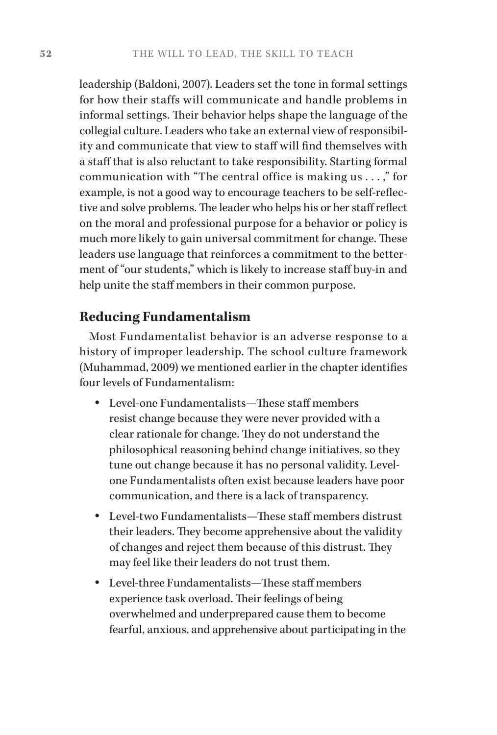leadership (Baldoni, 2007). Leaders set the tone in formal settings for how their staffs will communicate and handle problems in informal settings. Their behavior helps shape the language of the collegial culture. Leaders who take an external view of responsibility and communicate that view to staff will find themselves with a staff that is also reluctant to take responsibility. Starting formal communication with "The central office is making us  $\dots$ ," for example, is not a good way to encourage teachers to be self-reflective and solve problems. The leader who helps his or her staff reflect on the moral and professional purpose for a behavior or policy is much more likely to gain universal commitment for change. These leaders use language that reinforces a commitment to the betterment of "our students," which is likely to increase staff buy-in and help unite the staff members in their common purpose.

## **Reducing Fundamentalism**

Most Fundamentalist behavior is an adverse response to a history of improper leadership. The school culture framework (Muhammad, 2009) we mentioned earlier in the chapter identifies four levels of Fundamentalism:

- y Level-one Fundamentalists—These staff members resist change because they were never provided with a clear rationale for change. They do not understand the philosophical reasoning behind change initiatives, so they tune out change because it has no personal validity. Levelone Fundamentalists often exist because leaders have poor communication, and there is a lack of transparency.
- Level-two Fundamentalists—These staff members distrust their leaders. They become apprehensive about the validity of changes and reject them because of this distrust. They may feel like their leaders do not trust them.
- Level-three Fundamentalists—These staff members experience task overload. Their feelings of being overwhelmed and underprepared cause them to become fearful, anxious, and apprehensive about participating in the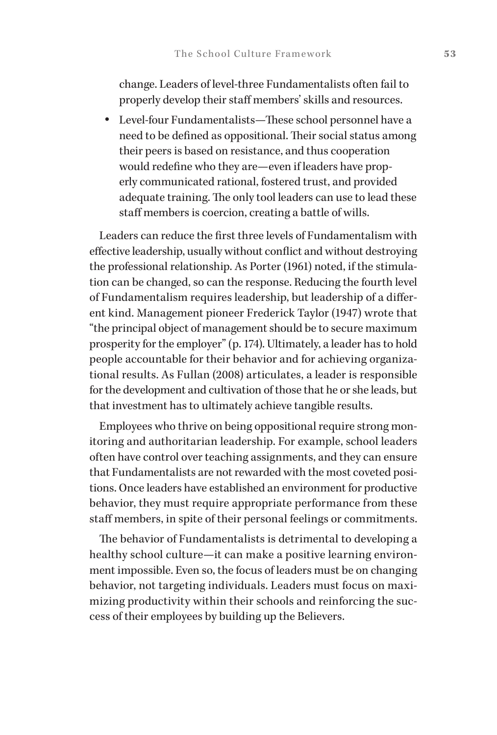change. Leaders of level-three Fundamentalists often fail to properly develop their staff members' skills and resources.

• Level-four Fundamentalists—These school personnel have a need to be defined as oppositional. Their social status among their peers is based on resistance, and thus cooperation would redefine who they are—even if leaders have properly communicated rational, fostered trust, and provided adequate training. The only tool leaders can use to lead these staff members is coercion, creating a battle of wills.

Leaders can reduce the first three levels of Fundamentalism with effective leadership, usually without conflict and without destroying the professional relationship. As Porter (1961) noted, if the stimulation can be changed, so can the response. Reducing the fourth level of Fundamentalism requires leadership, but leadership of a different kind. Management pioneer Frederick Taylor (1947) wrote that "the principal object of management should be to secure maximum prosperity for the employer" (p. 174). Ultimately, a leader has to hold people accountable for their behavior and for achieving organizational results. As Fullan (2008) articulates, a leader is responsible for the development and cultivation of those that he or she leads, but that investment has to ultimately achieve tangible results.

Employees who thrive on being oppositional require strong monitoring and authoritarian leadership. For example, school leaders often have control over teaching assignments, and they can ensure that Fundamentalists are not rewarded with the most coveted positions. Once leaders have established an environment for productive behavior, they must require appropriate performance from these staff members, in spite of their personal feelings or commitments.

The behavior of Fundamentalists is detrimental to developing a healthy school culture—it can make a positive learning environment impossible. Even so, the focus of leaders must be on changing behavior, not targeting individuals. Leaders must focus on maximizing productivity within their schools and reinforcing the success of their employees by building up the Believers.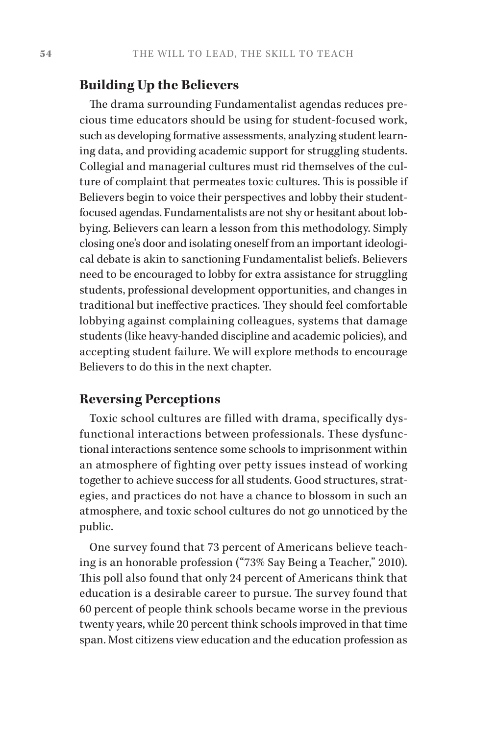## **Building Up the Believers**

The drama surrounding Fundamentalist agendas reduces precious time educators should be using for student-focused work, such as developing formative assessments, analyzing student learning data, and providing academic support for struggling students. Collegial and managerial cultures must rid themselves of the culture of complaint that permeates toxic cultures. This is possible if Believers begin to voice their perspectives and lobby their studentfocused agendas. Fundamentalists are not shy or hesitant about lobbying. Believers can learn a lesson from this methodology. Simply closing one's door and isolating oneself from an important ideological debate is akin to sanctioning Fundamentalist beliefs. Believers need to be encouraged to lobby for extra assistance for struggling students, professional development opportunities, and changes in traditional but ineffective practices. They should feel comfortable lobbying against complaining colleagues, systems that damage students (like heavy-handed discipline and academic policies), and accepting student failure. We will explore methods to encourage Believers to do this in the next chapter.

# **Reversing Perceptions**

Toxic school cultures are filled with drama, specifically dysfunctional interactions between professionals. These dysfunctional interactions sentence some schools to imprisonment within an atmosphere of fighting over petty issues instead of working together to achieve success for all students. Good structures, strategies, and practices do not have a chance to blossom in such an atmosphere, and toxic school cultures do not go unnoticed by the public.

One survey found that 73 percent of Americans believe teaching is an honorable profession ("73% Say Being a Teacher," 2010). This poll also found that only 24 percent of Americans think that education is a desirable career to pursue. The survey found that 60 percent of people think schools became worse in the previous twenty years, while 20 percent think schools improved in that time span. Most citizens view education and the education profession as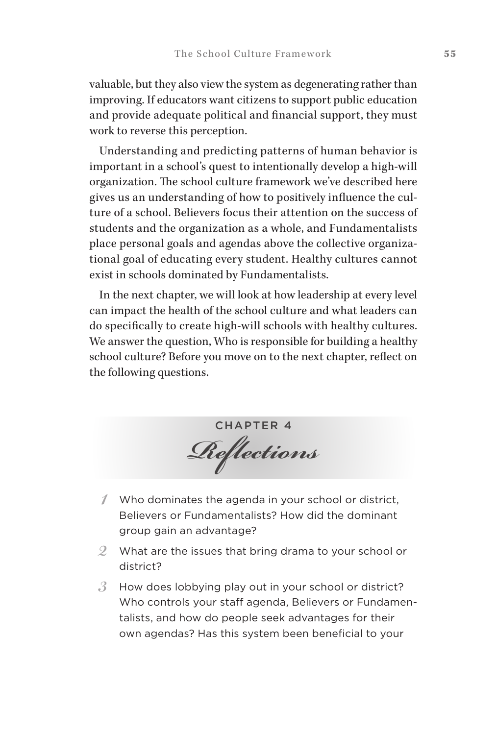valuable, but they also view the system as degenerating rather than improving. If educators want citizens to support public education and provide adequate political and financial support, they must work to reverse this perception.

Understanding and predicting patterns of human behavior is important in a school's quest to intentionally develop a high-will organization. The school culture framework we've described here gives us an understanding of how to positively influence the culture of a school. Believers focus their attention on the success of students and the organization as a whole, and Fundamentalists place personal goals and agendas above the collective organizational goal of educating every student. Healthy cultures cannot exist in schools dominated by Fundamentalists.

In the next chapter, we will look at how leadership at every level can impact the health of the school culture and what leaders can do specifically to create high-will schools with healthy cultures. We answer the question, Who is responsible for building a healthy school culture? Before you move on to the next chapter, reflect on the following questions.

CHAPTER 4 *Reflections*

- *1* Who dominates the agenda in your school or district, Believers or Fundamentalists? How did the dominant group gain an advantage?
- *2* What are the issues that bring drama to your school or district?
- *3* How does lobbying play out in your school or district? Who controls your staff agenda, Believers or Fundamentalists, and how do people seek advantages for their own agendas? Has this system been beneficial to your